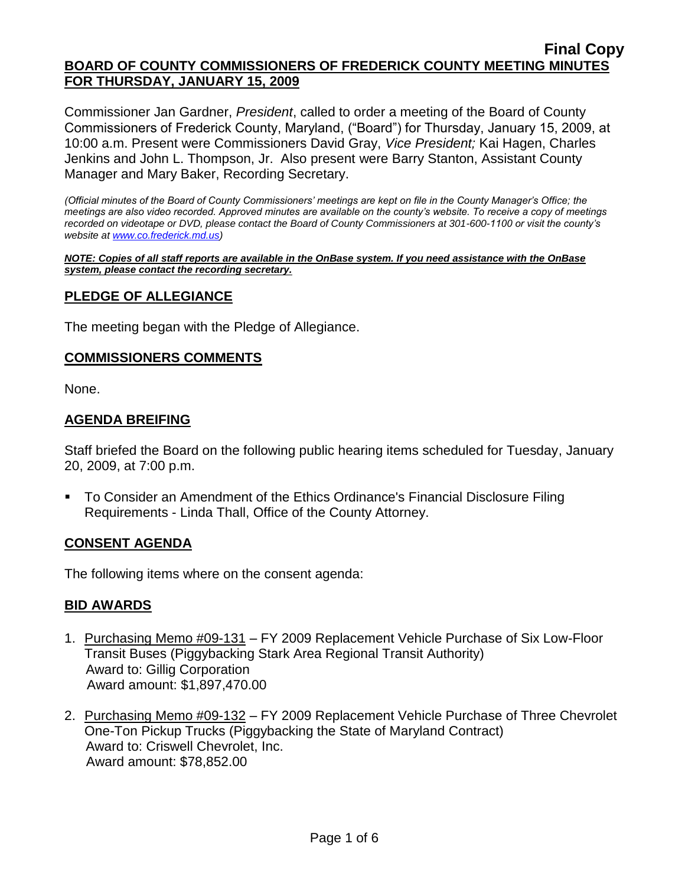Commissioner Jan Gardner, *President*, called to order a meeting of the Board of County Commissioners of Frederick County, Maryland, ("Board") for Thursday, January 15, 2009, at 10:00 a.m. Present were Commissioners David Gray, *Vice President;* Kai Hagen, Charles Jenkins and John L. Thompson, Jr. Also present were Barry Stanton, Assistant County Manager and Mary Baker, Recording Secretary.

*(Official minutes of the Board of County Commissioners' meetings are kept on file in the County Manager's Office; the meetings are also video recorded. Approved minutes are available on the county's website. To receive a copy of meetings recorded on videotape or DVD, please contact the Board of County Commissioners at 301-600-1100 or visit the county's website a[t www.co.frederick.md.us\)](http://www.co.frederick.md.us/)*

#### *NOTE: Copies of all staff reports are available in the OnBase system. If you need assistance with the OnBase system, please contact the recording secretary.*

# **PLEDGE OF ALLEGIANCE**

The meeting began with the Pledge of Allegiance.

#### **COMMISSIONERS COMMENTS**

None.

### **AGENDA BREIFING**

Staff briefed the Board on the following public hearing items scheduled for Tuesday, January 20, 2009, at 7:00 p.m.

 To Consider an Amendment of the Ethics Ordinance's Financial Disclosure Filing Requirements - Linda Thall, Office of the County Attorney.

### **CONSENT AGENDA**

The following items where on the consent agenda:

### **BID AWARDS**

- 1. Purchasing Memo #09-131 FY 2009 Replacement Vehicle Purchase of Six Low-Floor Transit Buses (Piggybacking Stark Area Regional Transit Authority) Award to: Gillig Corporation Award amount: \$1,897,470.00
- 2. Purchasing Memo #09-132 FY 2009 Replacement Vehicle Purchase of Three Chevrolet One-Ton Pickup Trucks (Piggybacking the State of Maryland Contract) Award to: Criswell Chevrolet, Inc. Award amount: \$78,852.00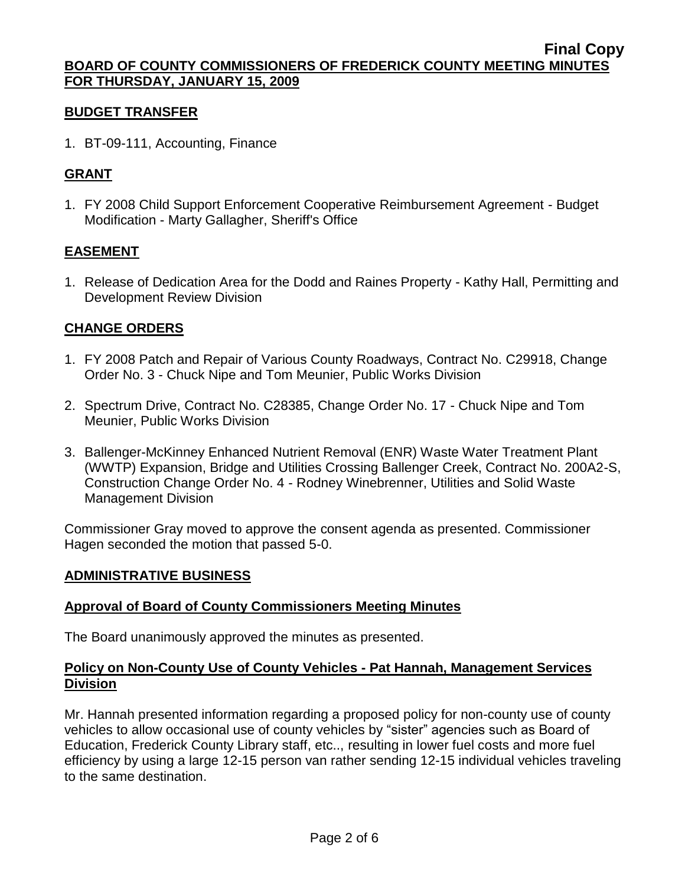#### **BUDGET TRANSFER**

1. BT-09-111, Accounting, Finance

# **GRANT**

1. FY 2008 Child Support Enforcement Cooperative Reimbursement Agreement - Budget Modification - Marty Gallagher, Sheriff's Office

# **EASEMENT**

1. Release of Dedication Area for the Dodd and Raines Property - Kathy Hall, Permitting and Development Review Division

### **CHANGE ORDERS**

- 1. FY 2008 Patch and Repair of Various County Roadways, Contract No. C29918, Change Order No. 3 - Chuck Nipe and Tom Meunier, Public Works Division
- 2. Spectrum Drive, Contract No. C28385, Change Order No. 17 Chuck Nipe and Tom Meunier, Public Works Division
- 3. Ballenger-McKinney Enhanced Nutrient Removal (ENR) Waste Water Treatment Plant (WWTP) Expansion, Bridge and Utilities Crossing Ballenger Creek, Contract No. 200A2-S, Construction Change Order No. 4 - Rodney Winebrenner, Utilities and Solid Waste Management Division

Commissioner Gray moved to approve the consent agenda as presented. Commissioner Hagen seconded the motion that passed 5-0.

### **ADMINISTRATIVE BUSINESS**

### **Approval of Board of County Commissioners Meeting Minutes**

The Board unanimously approved the minutes as presented.

### **Policy on Non-County Use of County Vehicles - Pat Hannah, Management Services Division**

Mr. Hannah presented information regarding a proposed policy for non-county use of county vehicles to allow occasional use of county vehicles by "sister" agencies such as Board of Education, Frederick County Library staff, etc.., resulting in lower fuel costs and more fuel efficiency by using a large 12-15 person van rather sending 12-15 individual vehicles traveling to the same destination.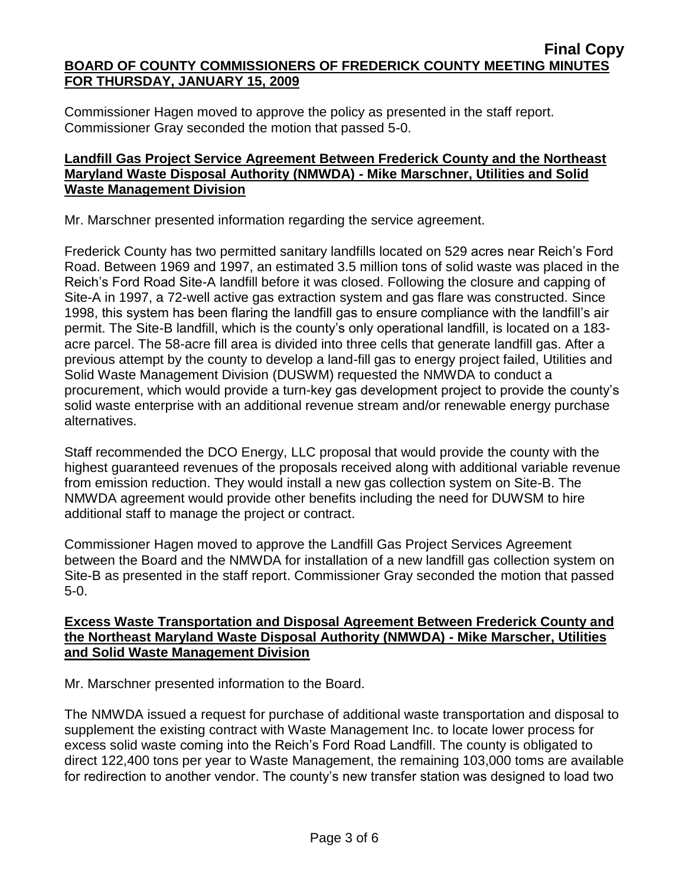Commissioner Hagen moved to approve the policy as presented in the staff report. Commissioner Gray seconded the motion that passed 5-0.

### **Landfill Gas Project Service Agreement Between Frederick County and the Northeast Maryland Waste Disposal Authority (NMWDA) - Mike Marschner, Utilities and Solid Waste Management Division**

Mr. Marschner presented information regarding the service agreement.

Frederick County has two permitted sanitary landfills located on 529 acres near Reich's Ford Road. Between 1969 and 1997, an estimated 3.5 million tons of solid waste was placed in the Reich's Ford Road Site-A landfill before it was closed. Following the closure and capping of Site-A in 1997, a 72-well active gas extraction system and gas flare was constructed. Since 1998, this system has been flaring the landfill gas to ensure compliance with the landfill's air permit. The Site-B landfill, which is the county's only operational landfill, is located on a 183 acre parcel. The 58-acre fill area is divided into three cells that generate landfill gas. After a previous attempt by the county to develop a land-fill gas to energy project failed, Utilities and Solid Waste Management Division (DUSWM) requested the NMWDA to conduct a procurement, which would provide a turn-key gas development project to provide the county's solid waste enterprise with an additional revenue stream and/or renewable energy purchase alternatives.

Staff recommended the DCO Energy, LLC proposal that would provide the county with the highest guaranteed revenues of the proposals received along with additional variable revenue from emission reduction. They would install a new gas collection system on Site-B. The NMWDA agreement would provide other benefits including the need for DUWSM to hire additional staff to manage the project or contract.

Commissioner Hagen moved to approve the Landfill Gas Project Services Agreement between the Board and the NMWDA for installation of a new landfill gas collection system on Site-B as presented in the staff report. Commissioner Gray seconded the motion that passed 5-0.

# **Excess Waste Transportation and Disposal Agreement Between Frederick County and the Northeast Maryland Waste Disposal Authority (NMWDA) - Mike Marscher, Utilities and Solid Waste Management Division**

Mr. Marschner presented information to the Board.

The NMWDA issued a request for purchase of additional waste transportation and disposal to supplement the existing contract with Waste Management Inc. to locate lower process for excess solid waste coming into the Reich's Ford Road Landfill. The county is obligated to direct 122,400 tons per year to Waste Management, the remaining 103,000 toms are available for redirection to another vendor. The county's new transfer station was designed to load two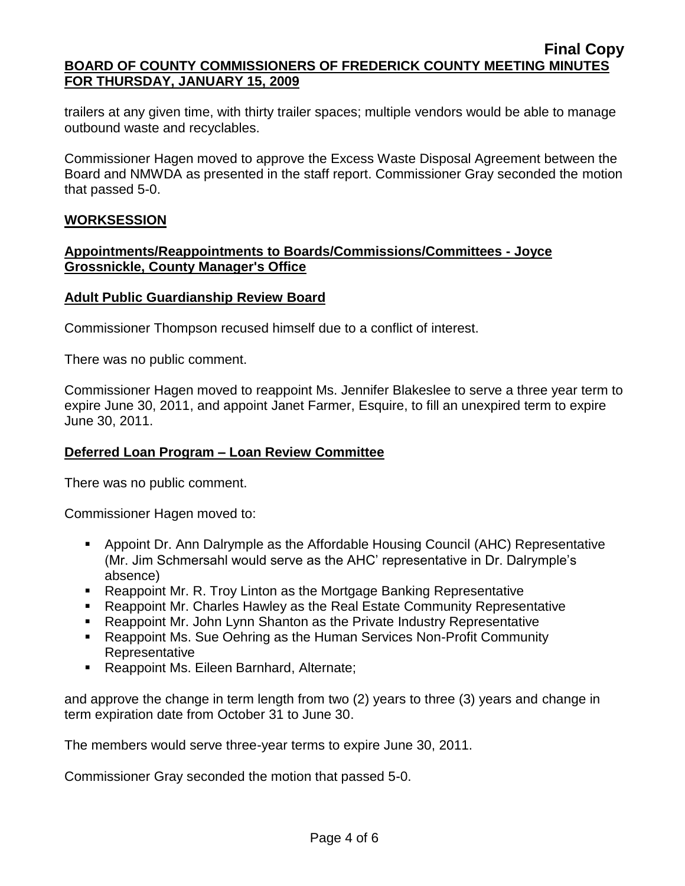trailers at any given time, with thirty trailer spaces; multiple vendors would be able to manage outbound waste and recyclables.

Commissioner Hagen moved to approve the Excess Waste Disposal Agreement between the Board and NMWDA as presented in the staff report. Commissioner Gray seconded the motion that passed 5-0.

### **WORKSESSION**

### **Appointments/Reappointments to Boards/Commissions/Committees - Joyce Grossnickle, County Manager's Office**

#### **Adult Public Guardianship Review Board**

Commissioner Thompson recused himself due to a conflict of interest.

There was no public comment.

Commissioner Hagen moved to reappoint Ms. Jennifer Blakeslee to serve a three year term to expire June 30, 2011, and appoint Janet Farmer, Esquire, to fill an unexpired term to expire June 30, 2011.

### **Deferred Loan Program – Loan Review Committee**

There was no public comment.

Commissioner Hagen moved to:

- Appoint Dr. Ann Dalrymple as the Affordable Housing Council (AHC) Representative (Mr. Jim Schmersahl would serve as the AHC' representative in Dr. Dalrymple's absence)
- Reappoint Mr. R. Troy Linton as the Mortgage Banking Representative
- Reappoint Mr. Charles Hawley as the Real Estate Community Representative
- **EXECT** Reappoint Mr. John Lynn Shanton as the Private Industry Representative
- Reappoint Ms. Sue Oehring as the Human Services Non-Profit Community Representative
- **Reappoint Ms. Eileen Barnhard, Alternate;**

and approve the change in term length from two (2) years to three (3) years and change in term expiration date from October 31 to June 30.

The members would serve three-year terms to expire June 30, 2011.

Commissioner Gray seconded the motion that passed 5-0.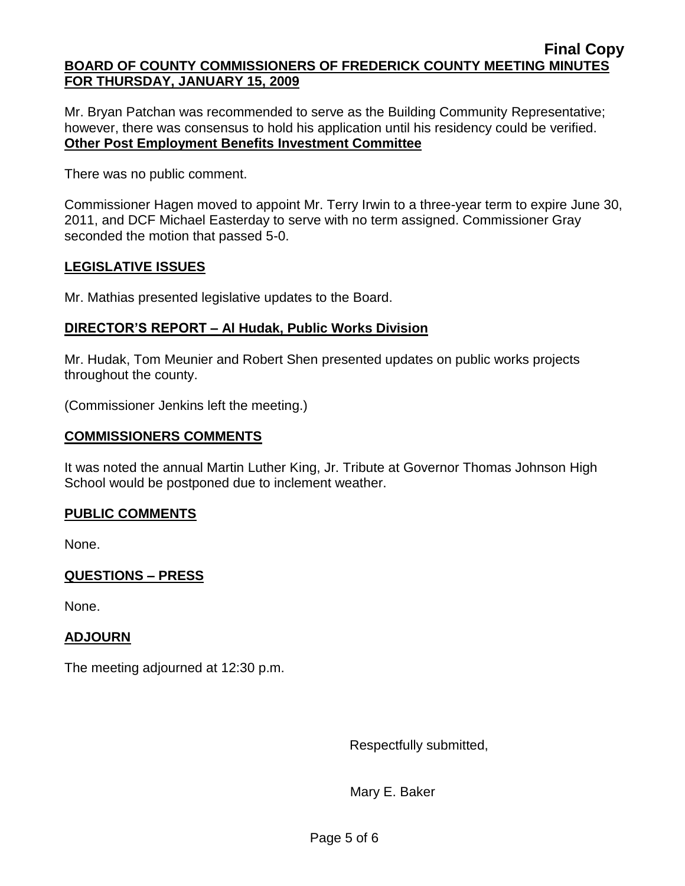Mr. Bryan Patchan was recommended to serve as the Building Community Representative; however, there was consensus to hold his application until his residency could be verified. **Other Post Employment Benefits Investment Committee**

There was no public comment.

Commissioner Hagen moved to appoint Mr. Terry Irwin to a three-year term to expire June 30, 2011, and DCF Michael Easterday to serve with no term assigned. Commissioner Gray seconded the motion that passed 5-0.

# **LEGISLATIVE ISSUES**

Mr. Mathias presented legislative updates to the Board.

# **DIRECTOR'S REPORT – Al Hudak, Public Works Division**

Mr. Hudak, Tom Meunier and Robert Shen presented updates on public works projects throughout the county.

(Commissioner Jenkins left the meeting.)

# **COMMISSIONERS COMMENTS**

It was noted the annual Martin Luther King, Jr. Tribute at Governor Thomas Johnson High School would be postponed due to inclement weather.

# **PUBLIC COMMENTS**

None.

# **QUESTIONS – PRESS**

None.

# **ADJOURN**

The meeting adjourned at 12:30 p.m.

Respectfully submitted,

Mary E. Baker